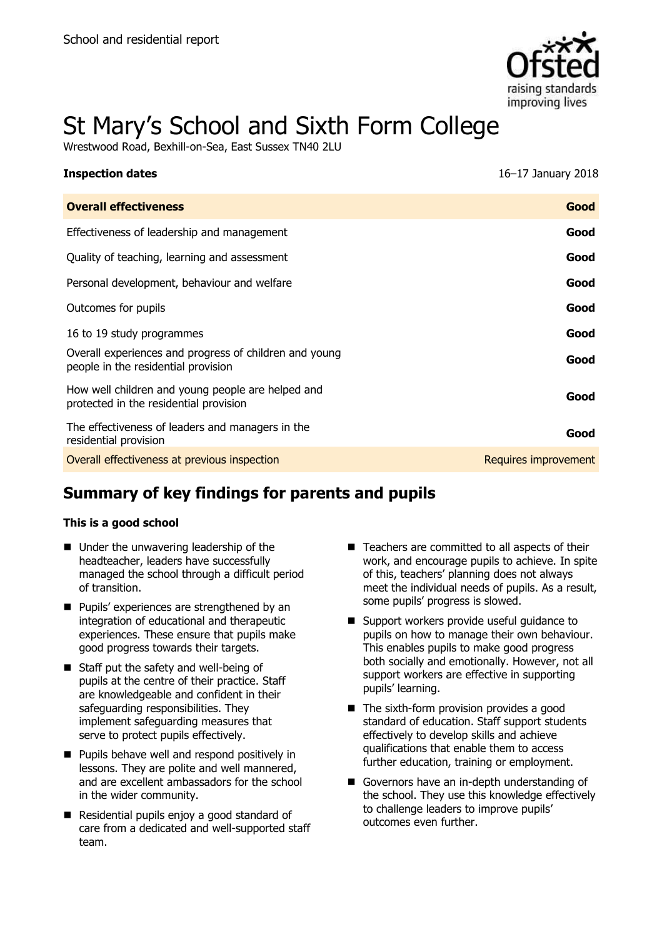

# St Mary's School and Sixth Form College

Wrestwood Road, Bexhill-on-Sea, East Sussex TN40 2LU

| <b>Inspection dates</b>                                                                       | 16–17 January 2018   |
|-----------------------------------------------------------------------------------------------|----------------------|
| <b>Overall effectiveness</b>                                                                  | Good                 |
| Effectiveness of leadership and management                                                    | Good                 |
| Quality of teaching, learning and assessment                                                  | Good                 |
| Personal development, behaviour and welfare                                                   | Good                 |
| Outcomes for pupils                                                                           | Good                 |
| 16 to 19 study programmes                                                                     | Good                 |
| Overall experiences and progress of children and young<br>people in the residential provision | Good                 |
| How well children and young people are helped and<br>protected in the residential provision   | Good                 |
| The effectiveness of leaders and managers in the<br>residential provision                     | Good                 |
| Overall effectiveness at previous inspection                                                  | Requires improvement |

# **Summary of key findings for parents and pupils**

### **This is a good school**

- Under the unwavering leadership of the headteacher, leaders have successfully managed the school through a difficult period of transition.
- **Pupils' experiences are strengthened by an** integration of educational and therapeutic experiences. These ensure that pupils make good progress towards their targets.
- Staff put the safety and well-being of pupils at the centre of their practice. Staff are knowledgeable and confident in their safeguarding responsibilities. They implement safeguarding measures that serve to protect pupils effectively.
- **Pupils behave well and respond positively in** lessons. They are polite and well mannered, and are excellent ambassadors for the school in the wider community.
- Residential pupils enjoy a good standard of care from a dedicated and well-supported staff team.
- Teachers are committed to all aspects of their work, and encourage pupils to achieve. In spite of this, teachers' planning does not always meet the individual needs of pupils. As a result, some pupils' progress is slowed.
- Support workers provide useful quidance to pupils on how to manage their own behaviour. This enables pupils to make good progress both socially and emotionally. However, not all support workers are effective in supporting pupils' learning.
- The sixth-form provision provides a good standard of education. Staff support students effectively to develop skills and achieve qualifications that enable them to access further education, training or employment.
- Governors have an in-depth understanding of the school. They use this knowledge effectively to challenge leaders to improve pupils' outcomes even further.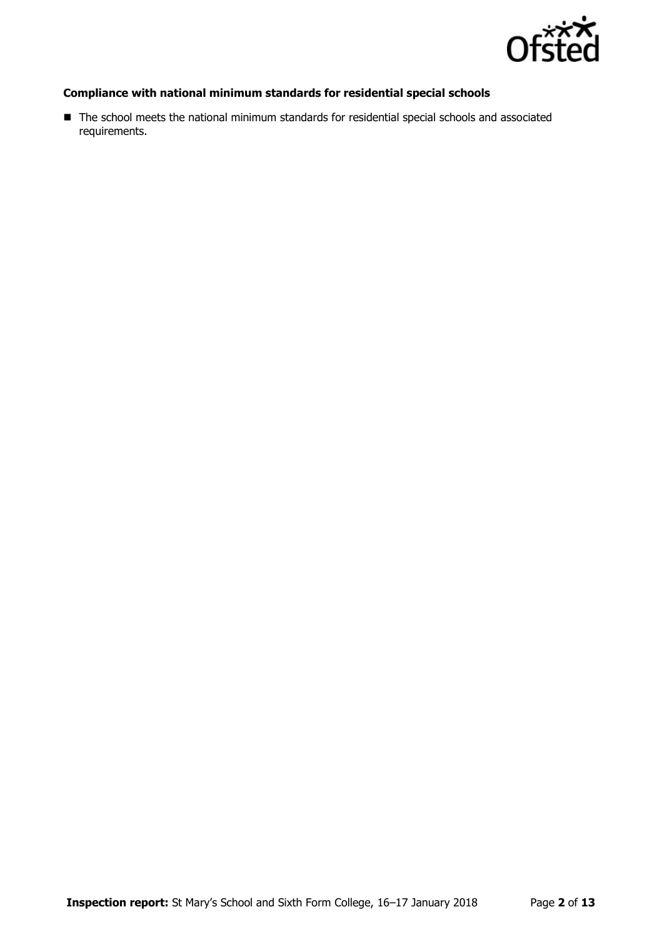

### **Compliance with national minimum standards for residential special schools**

■ The school meets the national minimum standards for residential special schools and associated requirements.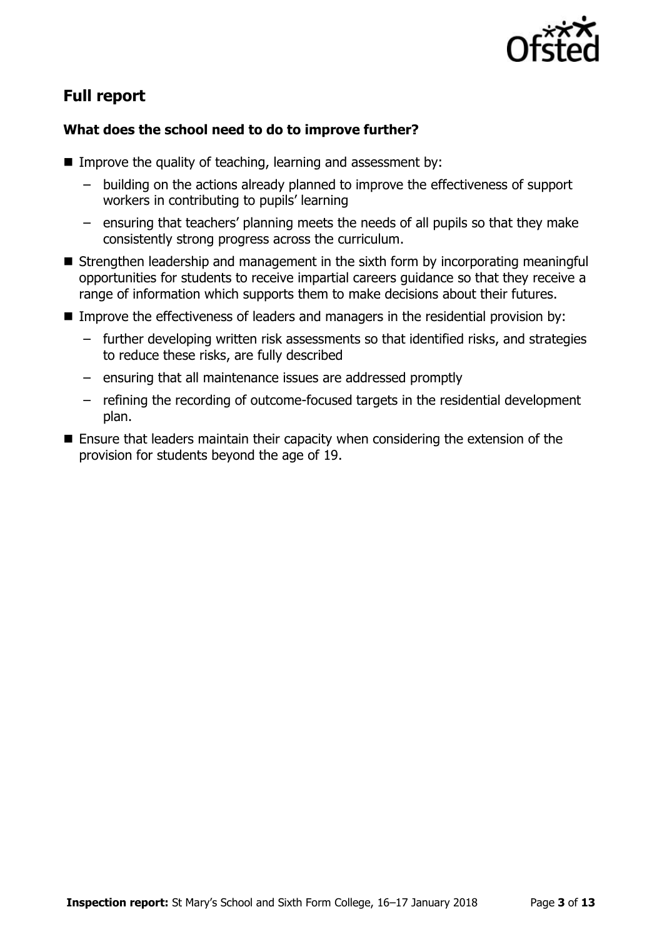

# **Full report**

### **What does the school need to do to improve further?**

- Improve the quality of teaching, learning and assessment by:
	- building on the actions already planned to improve the effectiveness of support workers in contributing to pupils' learning
	- ensuring that teachers' planning meets the needs of all pupils so that they make consistently strong progress across the curriculum.
- Strengthen leadership and management in the sixth form by incorporating meaningful opportunities for students to receive impartial careers guidance so that they receive a range of information which supports them to make decisions about their futures.
- **IMPROVE THE EFFECT INCOCES IN EXAMPLE 2015** In the residential provision by:
	- further developing written risk assessments so that identified risks, and strategies to reduce these risks, are fully described
	- ensuring that all maintenance issues are addressed promptly
	- refining the recording of outcome-focused targets in the residential development plan.
- Ensure that leaders maintain their capacity when considering the extension of the provision for students beyond the age of 19.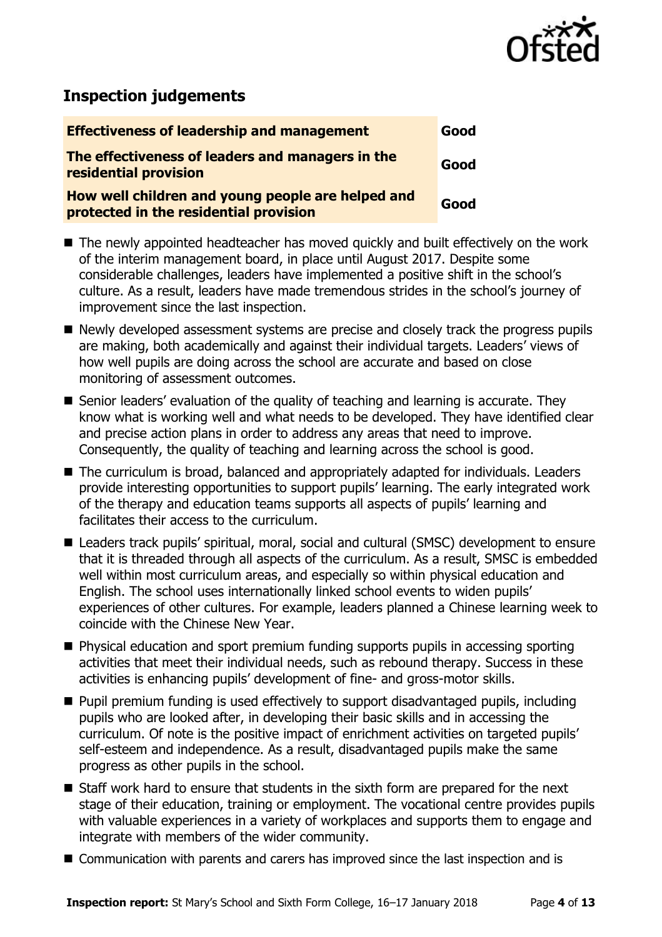

# **Inspection judgements**

| <b>Effectiveness of leadership and management</b>                                           | Good |
|---------------------------------------------------------------------------------------------|------|
| The effectiveness of leaders and managers in the<br>residential provision                   | Good |
| How well children and young people are helped and<br>protected in the residential provision | Good |

- The newly appointed headteacher has moved quickly and built effectively on the work of the interim management board, in place until August 2017. Despite some considerable challenges, leaders have implemented a positive shift in the school's culture. As a result, leaders have made tremendous strides in the school's journey of improvement since the last inspection.
- Newly developed assessment systems are precise and closely track the progress pupils are making, both academically and against their individual targets. Leaders' views of how well pupils are doing across the school are accurate and based on close monitoring of assessment outcomes.
- Senior leaders' evaluation of the quality of teaching and learning is accurate. They know what is working well and what needs to be developed. They have identified clear and precise action plans in order to address any areas that need to improve. Consequently, the quality of teaching and learning across the school is good.
- The curriculum is broad, balanced and appropriately adapted for individuals. Leaders provide interesting opportunities to support pupils' learning. The early integrated work of the therapy and education teams supports all aspects of pupils' learning and facilitates their access to the curriculum.
- Leaders track pupils' spiritual, moral, social and cultural (SMSC) development to ensure that it is threaded through all aspects of the curriculum. As a result, SMSC is embedded well within most curriculum areas, and especially so within physical education and English. The school uses internationally linked school events to widen pupils' experiences of other cultures. For example, leaders planned a Chinese learning week to coincide with the Chinese New Year.
- Physical education and sport premium funding supports pupils in accessing sporting activities that meet their individual needs, such as rebound therapy. Success in these activities is enhancing pupils' development of fine- and gross-motor skills.
- **Pupil premium funding is used effectively to support disadvantaged pupils, including** pupils who are looked after, in developing their basic skills and in accessing the curriculum. Of note is the positive impact of enrichment activities on targeted pupils' self-esteem and independence. As a result, disadvantaged pupils make the same progress as other pupils in the school.
- Staff work hard to ensure that students in the sixth form are prepared for the next stage of their education, training or employment. The vocational centre provides pupils with valuable experiences in a variety of workplaces and supports them to engage and integrate with members of the wider community.
- Communication with parents and carers has improved since the last inspection and is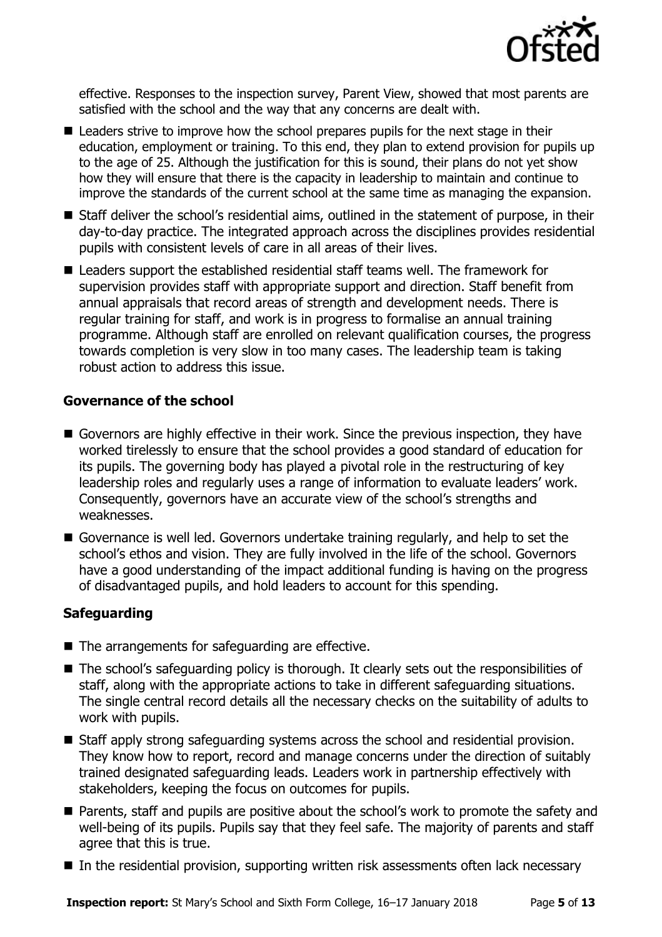

effective. Responses to the inspection survey, Parent View, showed that most parents are satisfied with the school and the way that any concerns are dealt with.

- Leaders strive to improve how the school prepares pupils for the next stage in their education, employment or training. To this end, they plan to extend provision for pupils up to the age of 25. Although the justification for this is sound, their plans do not yet show how they will ensure that there is the capacity in leadership to maintain and continue to improve the standards of the current school at the same time as managing the expansion.
- Staff deliver the school's residential aims, outlined in the statement of purpose, in their day-to-day practice. The integrated approach across the disciplines provides residential pupils with consistent levels of care in all areas of their lives.
- Leaders support the established residential staff teams well. The framework for supervision provides staff with appropriate support and direction. Staff benefit from annual appraisals that record areas of strength and development needs. There is regular training for staff, and work is in progress to formalise an annual training programme. Although staff are enrolled on relevant qualification courses, the progress towards completion is very slow in too many cases. The leadership team is taking robust action to address this issue.

### **Governance of the school**

- Governors are highly effective in their work. Since the previous inspection, they have worked tirelessly to ensure that the school provides a good standard of education for its pupils. The governing body has played a pivotal role in the restructuring of key leadership roles and regularly uses a range of information to evaluate leaders' work. Consequently, governors have an accurate view of the school's strengths and weaknesses.
- Governance is well led. Governors undertake training regularly, and help to set the school's ethos and vision. They are fully involved in the life of the school. Governors have a good understanding of the impact additional funding is having on the progress of disadvantaged pupils, and hold leaders to account for this spending.

### **Safeguarding**

- The arrangements for safeguarding are effective.
- The school's safeguarding policy is thorough. It clearly sets out the responsibilities of staff, along with the appropriate actions to take in different safeguarding situations. The single central record details all the necessary checks on the suitability of adults to work with pupils.
- Staff apply strong safeguarding systems across the school and residential provision. They know how to report, record and manage concerns under the direction of suitably trained designated safeguarding leads. Leaders work in partnership effectively with stakeholders, keeping the focus on outcomes for pupils.
- Parents, staff and pupils are positive about the school's work to promote the safety and well-being of its pupils. Pupils say that they feel safe. The majority of parents and staff agree that this is true.
- In the residential provision, supporting written risk assessments often lack necessary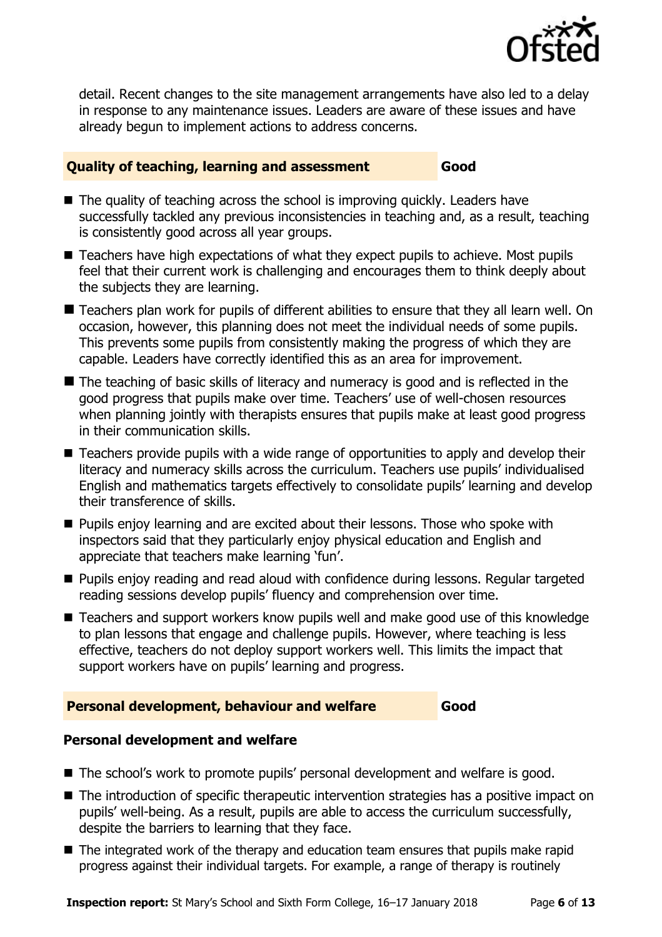

detail. Recent changes to the site management arrangements have also led to a delay in response to any maintenance issues. Leaders are aware of these issues and have already begun to implement actions to address concerns.

### **Quality of teaching, learning and assessment Good**

- The quality of teaching across the school is improving quickly. Leaders have successfully tackled any previous inconsistencies in teaching and, as a result, teaching is consistently good across all year groups.
- Teachers have high expectations of what they expect pupils to achieve. Most pupils feel that their current work is challenging and encourages them to think deeply about the subjects they are learning.
- Teachers plan work for pupils of different abilities to ensure that they all learn well. On occasion, however, this planning does not meet the individual needs of some pupils. This prevents some pupils from consistently making the progress of which they are capable. Leaders have correctly identified this as an area for improvement.
- The teaching of basic skills of literacy and numeracy is good and is reflected in the good progress that pupils make over time. Teachers' use of well-chosen resources when planning jointly with therapists ensures that pupils make at least good progress in their communication skills.
- Teachers provide pupils with a wide range of opportunities to apply and develop their literacy and numeracy skills across the curriculum. Teachers use pupils' individualised English and mathematics targets effectively to consolidate pupils' learning and develop their transference of skills.
- **Pupils enjoy learning and are excited about their lessons. Those who spoke with** inspectors said that they particularly enjoy physical education and English and appreciate that teachers make learning 'fun'.
- **Pupils enjoy reading and read aloud with confidence during lessons. Regular targeted** reading sessions develop pupils' fluency and comprehension over time.
- Teachers and support workers know pupils well and make good use of this knowledge to plan lessons that engage and challenge pupils. However, where teaching is less effective, teachers do not deploy support workers well. This limits the impact that support workers have on pupils' learning and progress.

### **Personal development, behaviour and welfare Good**

### **Personal development and welfare**

- The school's work to promote pupils' personal development and welfare is good.
- The introduction of specific therapeutic intervention strategies has a positive impact on pupils' well-being. As a result, pupils are able to access the curriculum successfully, despite the barriers to learning that they face.
- The integrated work of the therapy and education team ensures that pupils make rapid progress against their individual targets. For example, a range of therapy is routinely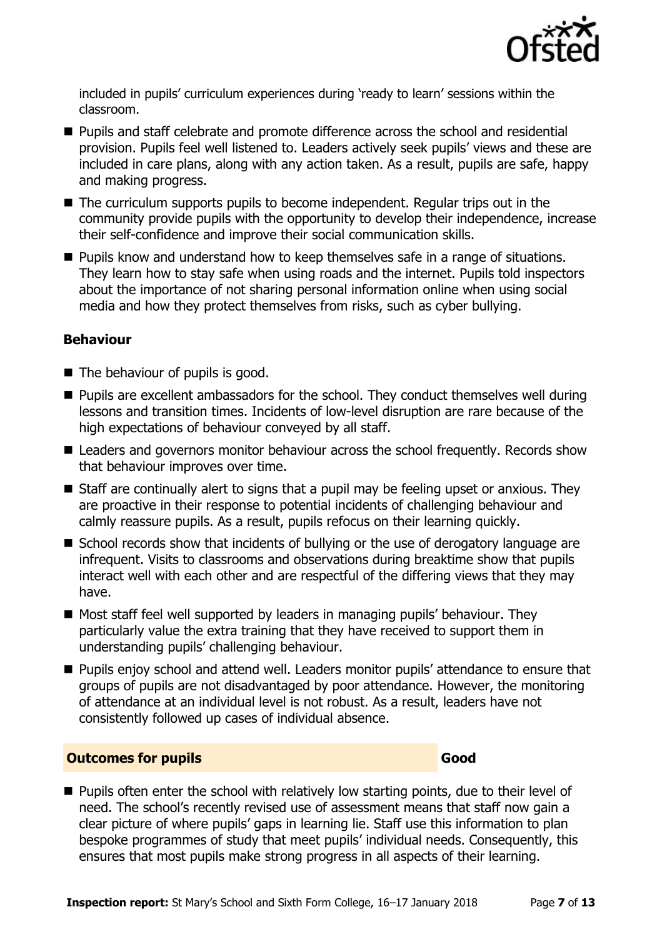

included in pupils' curriculum experiences during 'ready to learn' sessions within the classroom.

- **Pupils and staff celebrate and promote difference across the school and residential** provision. Pupils feel well listened to. Leaders actively seek pupils' views and these are included in care plans, along with any action taken. As a result, pupils are safe, happy and making progress.
- $\blacksquare$  The curriculum supports pupils to become independent. Regular trips out in the community provide pupils with the opportunity to develop their independence, increase their self-confidence and improve their social communication skills.
- **Pupils know and understand how to keep themselves safe in a range of situations.** They learn how to stay safe when using roads and the internet. Pupils told inspectors about the importance of not sharing personal information online when using social media and how they protect themselves from risks, such as cyber bullying.

### **Behaviour**

- $\blacksquare$  The behaviour of pupils is good.
- Pupils are excellent ambassadors for the school. They conduct themselves well during lessons and transition times. Incidents of low-level disruption are rare because of the high expectations of behaviour conveyed by all staff.
- Leaders and governors monitor behaviour across the school frequently. Records show that behaviour improves over time.
- Staff are continually alert to signs that a pupil may be feeling upset or anxious. They are proactive in their response to potential incidents of challenging behaviour and calmly reassure pupils. As a result, pupils refocus on their learning quickly.
- School records show that incidents of bullying or the use of derogatory language are infrequent. Visits to classrooms and observations during breaktime show that pupils interact well with each other and are respectful of the differing views that they may have.
- Most staff feel well supported by leaders in managing pupils' behaviour. They particularly value the extra training that they have received to support them in understanding pupils' challenging behaviour.
- **Pupils enjoy school and attend well. Leaders monitor pupils' attendance to ensure that** groups of pupils are not disadvantaged by poor attendance. However, the monitoring of attendance at an individual level is not robust. As a result, leaders have not consistently followed up cases of individual absence.

### **Outcomes for pupils Good**

**Pupils often enter the school with relatively low starting points, due to their level of** need. The school's recently revised use of assessment means that staff now gain a clear picture of where pupils' gaps in learning lie. Staff use this information to plan bespoke programmes of study that meet pupils' individual needs. Consequently, this ensures that most pupils make strong progress in all aspects of their learning.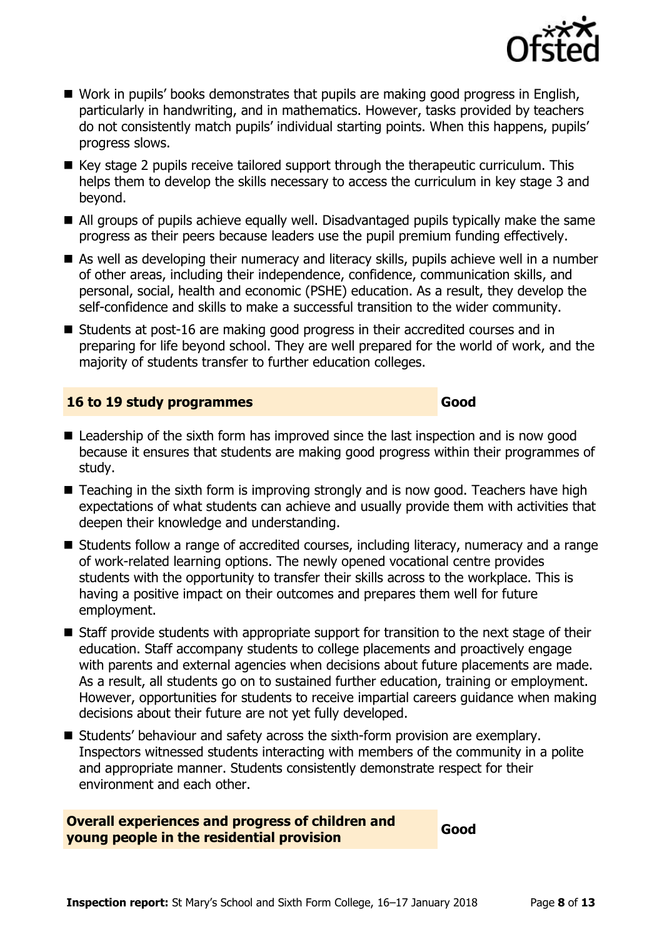

- Work in pupils' books demonstrates that pupils are making good progress in English, particularly in handwriting, and in mathematics. However, tasks provided by teachers do not consistently match pupils' individual starting points. When this happens, pupils' progress slows.
- $\blacksquare$  Key stage 2 pupils receive tailored support through the therapeutic curriculum. This helps them to develop the skills necessary to access the curriculum in key stage 3 and beyond.
- All groups of pupils achieve equally well. Disadvantaged pupils typically make the same progress as their peers because leaders use the pupil premium funding effectively.
- As well as developing their numeracy and literacy skills, pupils achieve well in a number of other areas, including their independence, confidence, communication skills, and personal, social, health and economic (PSHE) education. As a result, they develop the self-confidence and skills to make a successful transition to the wider community.
- Students at post-16 are making good progress in their accredited courses and in preparing for life beyond school. They are well prepared for the world of work, and the majority of students transfer to further education colleges.

### **16 to 19 study programmes Good**

- Leadership of the sixth form has improved since the last inspection and is now good because it ensures that students are making good progress within their programmes of study.
- Teaching in the sixth form is improving strongly and is now good. Teachers have high expectations of what students can achieve and usually provide them with activities that deepen their knowledge and understanding.
- Students follow a range of accredited courses, including literacy, numeracy and a range of work-related learning options. The newly opened vocational centre provides students with the opportunity to transfer their skills across to the workplace. This is having a positive impact on their outcomes and prepares them well for future employment.
- Staff provide students with appropriate support for transition to the next stage of their education. Staff accompany students to college placements and proactively engage with parents and external agencies when decisions about future placements are made. As a result, all students go on to sustained further education, training or employment. However, opportunities for students to receive impartial careers guidance when making decisions about their future are not yet fully developed.
- Students' behaviour and safety across the sixth-form provision are exemplary. Inspectors witnessed students interacting with members of the community in a polite and appropriate manner. Students consistently demonstrate respect for their environment and each other.

**Overall experiences and progress of children and young people in the residential provision**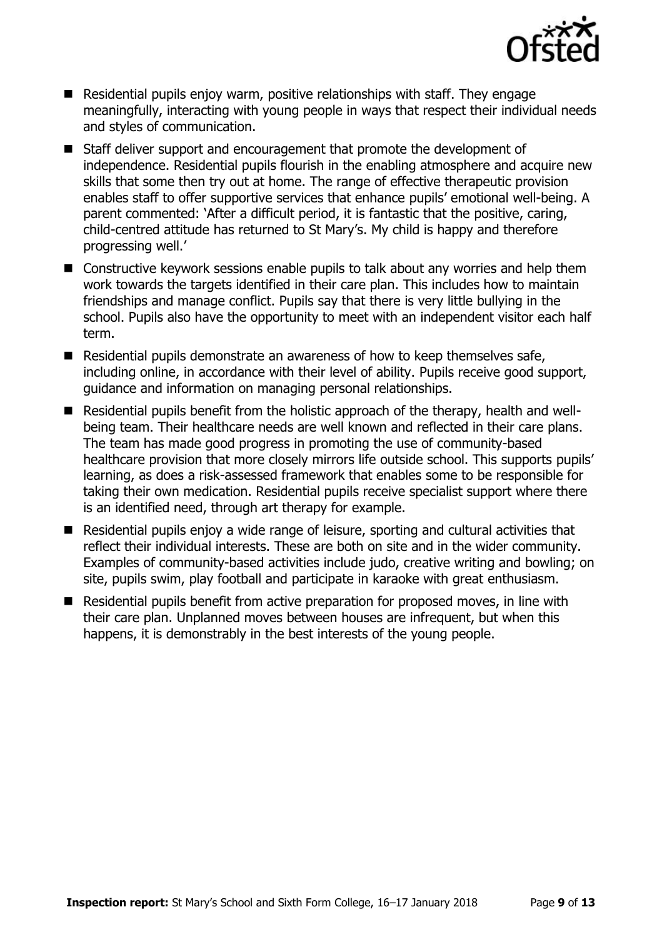

- Residential pupils enjoy warm, positive relationships with staff. They engage meaningfully, interacting with young people in ways that respect their individual needs and styles of communication.
- Staff deliver support and encouragement that promote the development of independence. Residential pupils flourish in the enabling atmosphere and acquire new skills that some then try out at home. The range of effective therapeutic provision enables staff to offer supportive services that enhance pupils' emotional well-being. A parent commented: 'After a difficult period, it is fantastic that the positive, caring, child-centred attitude has returned to St Mary's. My child is happy and therefore progressing well.'
- Constructive keywork sessions enable pupils to talk about any worries and help them work towards the targets identified in their care plan. This includes how to maintain friendships and manage conflict. Pupils say that there is very little bullying in the school. Pupils also have the opportunity to meet with an independent visitor each half term.
- Residential pupils demonstrate an awareness of how to keep themselves safe, including online, in accordance with their level of ability. Pupils receive good support, guidance and information on managing personal relationships.
- Residential pupils benefit from the holistic approach of the therapy, health and wellbeing team. Their healthcare needs are well known and reflected in their care plans. The team has made good progress in promoting the use of community-based healthcare provision that more closely mirrors life outside school. This supports pupils' learning, as does a risk-assessed framework that enables some to be responsible for taking their own medication. Residential pupils receive specialist support where there is an identified need, through art therapy for example.
- Residential pupils enjoy a wide range of leisure, sporting and cultural activities that reflect their individual interests. These are both on site and in the wider community. Examples of community-based activities include judo, creative writing and bowling; on site, pupils swim, play football and participate in karaoke with great enthusiasm.
- Residential pupils benefit from active preparation for proposed moves, in line with their care plan. Unplanned moves between houses are infrequent, but when this happens, it is demonstrably in the best interests of the young people.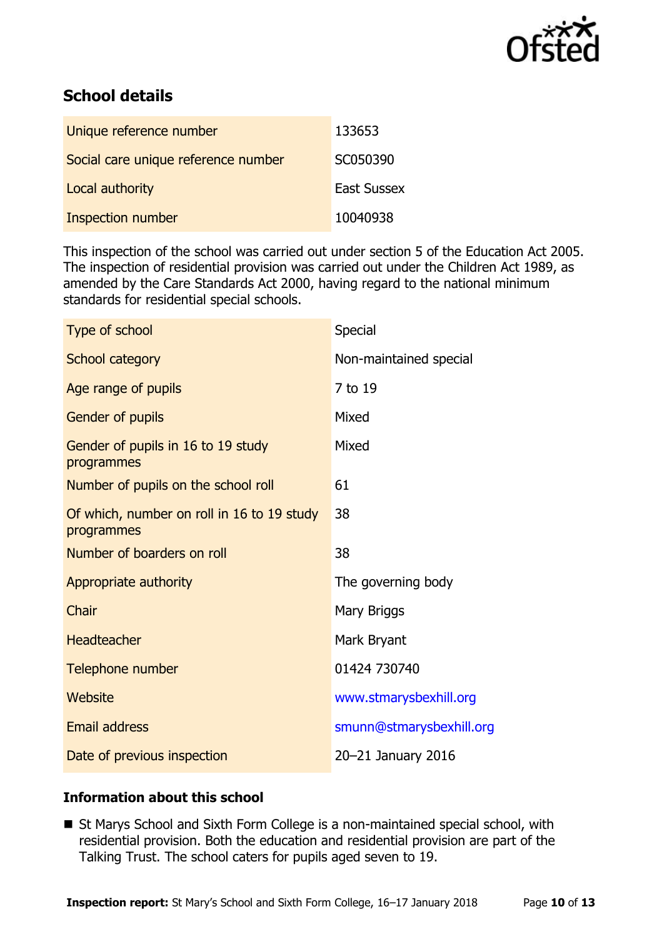

# **School details**

| Unique reference number             | 133653             |
|-------------------------------------|--------------------|
| Social care unique reference number | SC050390           |
| Local authority                     | <b>East Sussex</b> |
| Inspection number                   | 10040938           |

This inspection of the school was carried out under section 5 of the Education Act 2005. The inspection of residential provision was carried out under the Children Act 1989, as amended by the Care Standards Act 2000, having regard to the national minimum standards for residential special schools.

| Type of school                                           | Special                  |
|----------------------------------------------------------|--------------------------|
| School category                                          | Non-maintained special   |
| Age range of pupils                                      | 7 to 19                  |
| <b>Gender of pupils</b>                                  | Mixed                    |
| Gender of pupils in 16 to 19 study<br>programmes         | Mixed                    |
| Number of pupils on the school roll                      | 61                       |
| Of which, number on roll in 16 to 19 study<br>programmes | 38                       |
| Number of boarders on roll                               | 38                       |
| Appropriate authority                                    | The governing body       |
| Chair                                                    | Mary Briggs              |
| <b>Headteacher</b>                                       | Mark Bryant              |
| Telephone number                                         | 01424 730740             |
| Website                                                  | www.stmarysbexhill.org   |
| <b>Email address</b>                                     | smunn@stmarysbexhill.org |
| Date of previous inspection                              | 20-21 January 2016       |

### **Information about this school**

■ St Marys School and Sixth Form College is a non-maintained special school, with residential provision. Both the education and residential provision are part of the Talking Trust. The school caters for pupils aged seven to 19.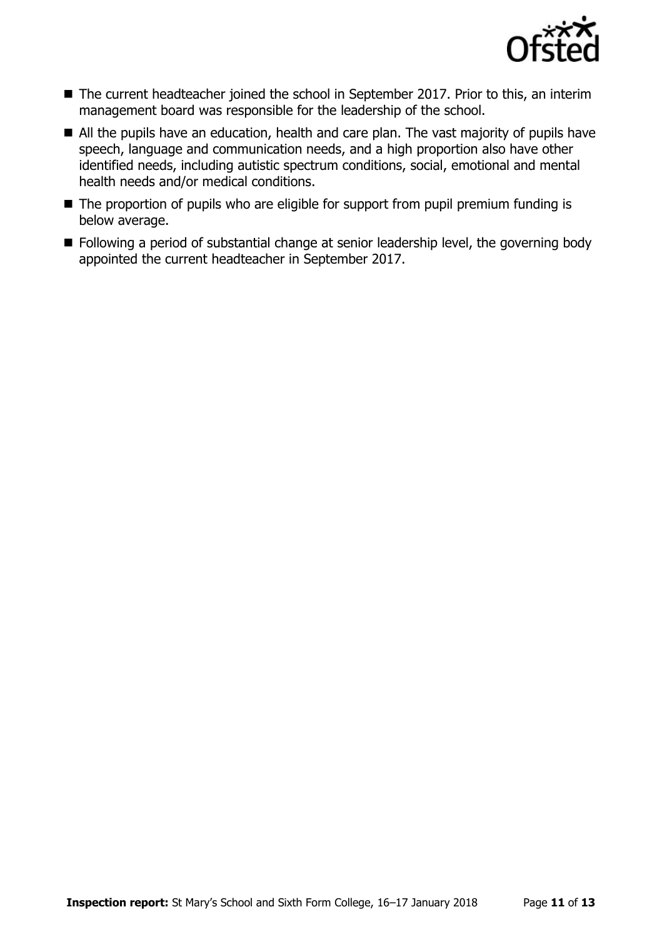

- The current headteacher joined the school in September 2017. Prior to this, an interim management board was responsible for the leadership of the school.
- All the pupils have an education, health and care plan. The vast majority of pupils have speech, language and communication needs, and a high proportion also have other identified needs, including autistic spectrum conditions, social, emotional and mental health needs and/or medical conditions.
- The proportion of pupils who are eligible for support from pupil premium funding is below average.
- **Following a period of substantial change at senior leadership level, the governing body** appointed the current headteacher in September 2017.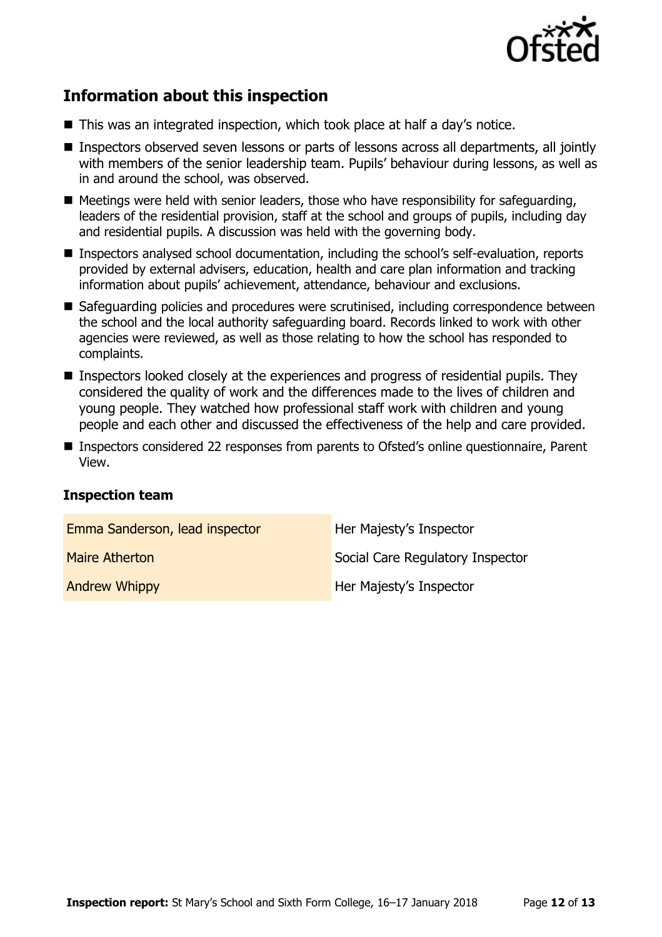

# **Information about this inspection**

- This was an integrated inspection, which took place at half a day's notice.
- Inspectors observed seven lessons or parts of lessons across all departments, all jointly with members of the senior leadership team. Pupils' behaviour during lessons, as well as in and around the school, was observed.
- Meetings were held with senior leaders, those who have responsibility for safeguarding, leaders of the residential provision, staff at the school and groups of pupils, including day and residential pupils. A discussion was held with the governing body.
- Inspectors analysed school documentation, including the school's self-evaluation, reports provided by external advisers, education, health and care plan information and tracking information about pupils' achievement, attendance, behaviour and exclusions.
- Safeguarding policies and procedures were scrutinised, including correspondence between the school and the local authority safeguarding board. Records linked to work with other agencies were reviewed, as well as those relating to how the school has responded to complaints.
- Inspectors looked closely at the experiences and progress of residential pupils. They considered the quality of work and the differences made to the lives of children and young people. They watched how professional staff work with children and young people and each other and discussed the effectiveness of the help and care provided.
- Inspectors considered 22 responses from parents to Ofsted's online questionnaire, Parent View.

### **Inspection team**

| Emma Sanderson, lead inspector | Her Majesty's Inspector          |
|--------------------------------|----------------------------------|
| <b>Maire Atherton</b>          | Social Care Regulatory Inspector |
| <b>Andrew Whippy</b>           | Her Majesty's Inspector          |